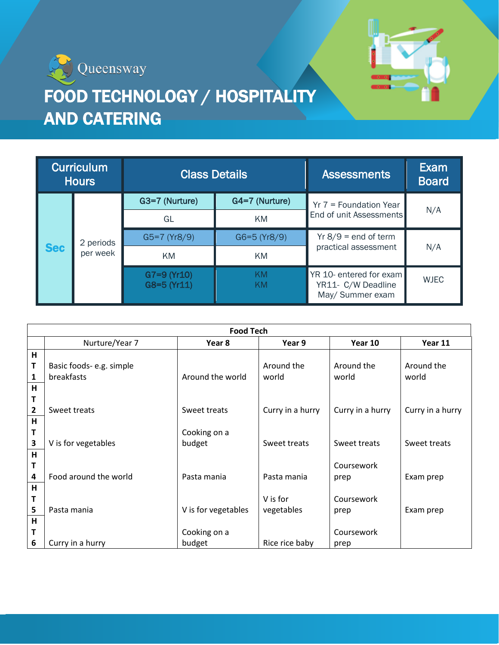



## FOOD TECHNOLOGY / HOSPITALITY AND CATERING

| <b>Curriculum</b><br><b>Hours</b> |                       | <b>Class Details</b>       |                  | <b>Assessments</b>                                                | Exam<br><b>Board</b> |
|-----------------------------------|-----------------------|----------------------------|------------------|-------------------------------------------------------------------|----------------------|
| <b>Sec</b>                        | 2 periods<br>per week | G3=7 (Nurture)             | G4=7 (Nurture)   | $Yr$ 7 = Foundation Year                                          | N/A                  |
|                                   |                       | GL                         | KM.              | End of unit Assessments                                           |                      |
|                                   |                       | $G5=7 (Yr8/9)$             | $G6 = 5 (Yr8/9)$ | $Yr 8/9 = end of term$                                            | N/A                  |
|                                   |                       | KM                         | KM.              | practical assessment                                              |                      |
|                                   |                       | G7=9 (Yr10)<br>G8=5 (Yr11) | KM.<br>KM        | YR 10- entered for exam<br>YR11- C/W Deadline<br>May/ Summer exam | <b>WJEC</b>          |

| <b>Food Tech</b>                             |                                               |                        |                        |                     |                     |  |  |
|----------------------------------------------|-----------------------------------------------|------------------------|------------------------|---------------------|---------------------|--|--|
|                                              | Nurture/Year 7                                | Year 8                 | Year 9                 | Year 10             | Year 11             |  |  |
| H<br>т<br>$\mathbf{1}$<br>H                  | Basic foods- e.g. simple<br><b>breakfasts</b> | Around the world       | Around the<br>world    | Around the<br>world | Around the<br>world |  |  |
| T<br>$\mathbf{2}$<br>$\mathsf{H}$            | Sweet treats                                  | Sweet treats           | Curry in a hurry       | Curry in a hurry    | Curry in a hurry    |  |  |
| T<br>3                                       | V is for vegetables                           | Cooking on a<br>budget | Sweet treats           | Sweet treats        | Sweet treats        |  |  |
| $\mathsf{H}$<br>Τ<br>$\overline{\mathbf{4}}$ | Food around the world                         | Pasta mania            | Pasta mania            | Coursework<br>prep  | Exam prep           |  |  |
| $\overline{\mathsf{H}}$<br>T<br>5            | Pasta mania                                   | V is for vegetables    | V is for<br>vegetables | Coursework<br>prep  | Exam prep           |  |  |
| $\overline{\mathsf{H}}$<br>T<br>6            | Curry in a hurry                              | Cooking on a<br>budget | Rice rice baby         | Coursework<br>prep  |                     |  |  |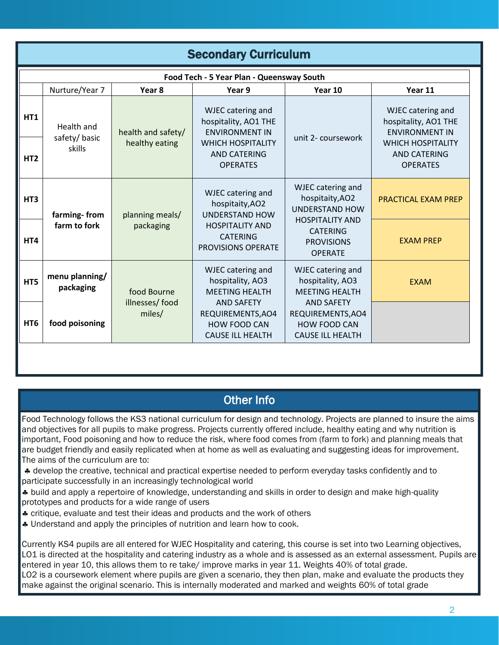| <b>Secondary Curriculum</b>               |                                      |                                      |                                                                                                                                          |                                                                                                                                                            |                                                                    |  |  |  |  |
|-------------------------------------------|--------------------------------------|--------------------------------------|------------------------------------------------------------------------------------------------------------------------------------------|------------------------------------------------------------------------------------------------------------------------------------------------------------|--------------------------------------------------------------------|--|--|--|--|
| Food Tech - 5 Year Plan - Queensway South |                                      |                                      |                                                                                                                                          |                                                                                                                                                            |                                                                    |  |  |  |  |
|                                           | Nurture/Year 7                       | Year <sub>8</sub>                    | Year 9                                                                                                                                   | Year 10                                                                                                                                                    | Year 11                                                            |  |  |  |  |
| HT1                                       | Health and<br>safety/basic<br>skills | health and safety/<br>healthy eating | WJEC catering and<br>hospitality, AO1 THE<br><b>ENVIRONMENT IN</b><br><b>WHICH HOSPITALITY</b><br><b>AND CATERING</b><br><b>OPERATES</b> | unit 2- coursework                                                                                                                                         | WJEC catering and<br>hospitality, AO1 THE<br><b>ENVIRONMENT IN</b> |  |  |  |  |
| HT <sub>2</sub>                           |                                      |                                      |                                                                                                                                          |                                                                                                                                                            | <b>WHICH HOSPITALITY</b><br><b>AND CATERING</b><br><b>OPERATES</b> |  |  |  |  |
| HT <sub>3</sub>                           | farming-from<br>farm to fork         | planning meals/<br>packaging         | WJEC catering and<br>hospitaity, AO2<br><b>UNDERSTAND HOW</b><br><b>HOSPITALITY AND</b><br><b>CATERING</b><br><b>PROVISIONS OPERATE</b>  | WJEC catering and<br>hospitaity, AO2<br><b>UNDERSTAND HOW</b><br><b>HOSPITALITY AND</b><br><b>CATERING</b><br><b>PROVISIONS</b><br><b>OPERATE</b>          | PRACTICAL EXAM PREP                                                |  |  |  |  |
| HT4                                       |                                      |                                      |                                                                                                                                          |                                                                                                                                                            | <b>EXAM PREP</b>                                                   |  |  |  |  |
| HT5                                       | menu planning/<br>packaging          | food Bourne<br>illnesses/food        | <b>WJEC</b> catering and<br>hospitality, AO3<br><b>MEETING HEALTH</b><br><b>AND SAFETY</b>                                               | WJEC catering and<br>hospitality, AO3<br><b>MEETING HEALTH</b><br><b>AND SAFETY</b><br>REQUIREMENTS, AO4<br><b>HOW FOOD CAN</b><br><b>CAUSE ILL HEALTH</b> | <b>EXAM</b>                                                        |  |  |  |  |
| HT <sub>6</sub>                           | food poisoning                       | miles/                               | REQUIREMENTS, AO4<br>HOW FOOD CAN<br><b>CAUSE ILL HEALTH</b>                                                                             |                                                                                                                                                            |                                                                    |  |  |  |  |
|                                           |                                      |                                      |                                                                                                                                          |                                                                                                                                                            |                                                                    |  |  |  |  |

## Other Info

Food Technology follows the KS3 national curriculum for design and technology. Projects are planned to insure the aims and objectives for all pupils to make progress. Projects currently offered include, healthy eating and why nutrition is important, Food poisoning and how to reduce the risk, where food comes from (farm to fork) and planning meals that are budget friendly and easily replicated when at home as well as evaluating and suggesting ideas for improvement. The aims of the curriculum are to:

\* develop the creative, technical and practical expertise needed to perform everyday tasks confidently and to participate successfully in an increasingly technological world

parasperts- excession, in an investing, is converged. There is simple prototypes and products for a wide range of users

**\*** critique, evaluate and test their ideas and products and the work of others

\* Understand and apply the principles of nutrition and learn how to cook.

cooking on a state of the state of the state of the state of the state of the state of the state of the state o<br>The state of the state of the state of the state of the state of the state of the state of the state of the st

Currently KS4 pupils are all entered for WJEC Hospitality and catering, this course is set into two Learning objectives, entered in year 15, this allows them to to take, improve marke in year 11. Weights 19% of total greas.<br>LO2 is a coursework element where pupils are given a scenario, they then plan, make and evaluate the products they food around the entered in year 10, this allows them to re take/ improve marks in year 11. Weights 40% of total grade. make against the original scenario. This is internally moderated and marked and weights 60% of total grade LO1 is directed at the hospitality and catering industry as a whole and is assessed as an external assessment. Pupils are